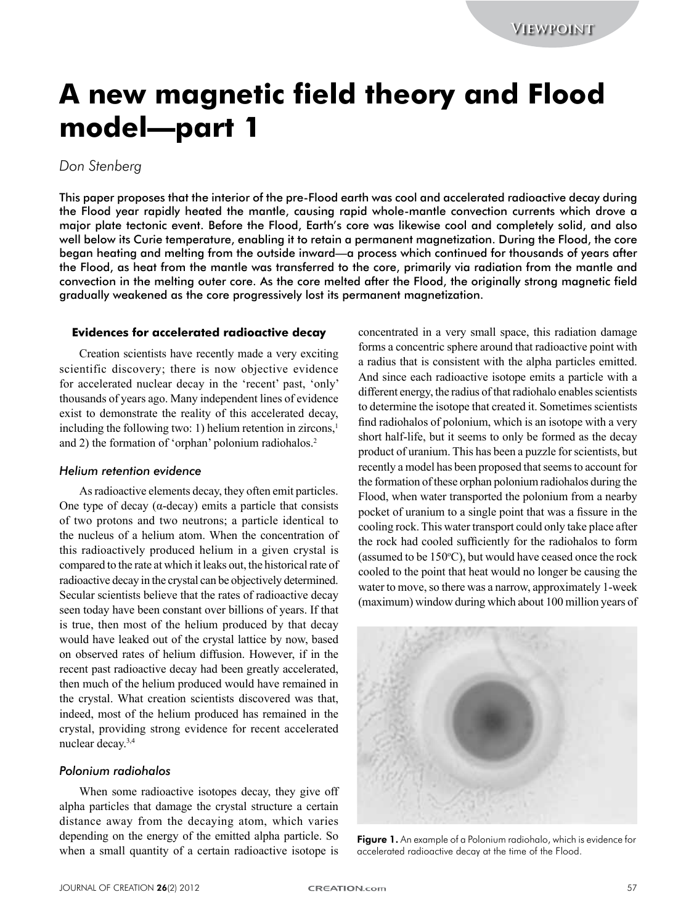# **A new magnetic field theory and Flood model—part 1**

# *Don Stenberg*

This paper proposes that the interior of the pre-Flood earth was cool and accelerated radioactive decay during the Flood year rapidly heated the mantle, causing rapid whole-mantle convection currents which drove a major plate tectonic event. Before the Flood, Earth's core was likewise cool and completely solid, and also well below its Curie temperature, enabling it to retain a permanent magnetization. During the Flood, the core began heating and melting from the outside inward—a process which continued for thousands of years after the Flood, as heat from the mantle was transferred to the core, primarily via radiation from the mantle and convection in the melting outer core. As the core melted after the Flood, the originally strong magnetic field gradually weakened as the core progressively lost its permanent magnetization.

### **Evidences for accelerated radioactive decay**

Creation scientists have recently made a very exciting scientific discovery; there is now objective evidence for accelerated nuclear decay in the 'recent' past, 'only' thousands of years ago. Many independent lines of evidence exist to demonstrate the reality of this accelerated decay, including the following two: 1) helium retention in zircons, $<sup>1</sup>$ </sup> and 2) the formation of 'orphan' polonium radiohalos.<sup>2</sup>

## *Helium retention evidence*

As radioactive elements decay, they often emit particles. One type of decay ( $\alpha$ -decay) emits a particle that consists of two protons and two neutrons; a particle identical to the nucleus of a helium atom. When the concentration of this radioactively produced helium in a given crystal is compared to the rate at which it leaks out, the historical rate of radioactive decay in the crystal can be objectively determined. Secular scientists believe that the rates of radioactive decay seen today have been constant over billions of years. If that is true, then most of the helium produced by that decay would have leaked out of the crystal lattice by now, based on observed rates of helium diffusion. However, if in the recent past radioactive decay had been greatly accelerated, then much of the helium produced would have remained in the crystal. What creation scientists discovered was that, indeed, most of the helium produced has remained in the crystal,) providing) strong) evidence) for) recent) accelerated) nuclear decay.<sup>3,4</sup>

## *Polonium radiohalos*

When some radioactive isotopes decay, they give off alpha particles that damage the crystal structure a certain distance away from the decaying atom, which varies depending on the energy of the emitted alpha particle. So when a small quantity of a certain radioactive isotope is concentrated in a very small space, this radiation damage forms a concentric sphere around that radioactive point with a radius that is consistent with the alpha particles emitted. And since each radioactive isotope emits a particle with a different energy, the radius of that radiohalo enables scientists to determine the isotope that created it. Sometimes scientists find radiohalos of polonium, which is an isotope with a very short half-life, but it seems to only be formed as the decay product of uranium. This has been a puzzle for scientists, but recently a model has been proposed that seems to account for the formation of these orphan polonium radiohalos during the Flood, when water transported the polonium from a nearby pocket of uranium to a single point that was a fissure in the cooling rock. This water transport could only take place after the rock had cooled sufficiently for the radiohalos to form (assumed to be  $150^{\circ}$ C), but would have ceased once the rock cooled to the point that heat would no longer be causing the water to move, so there was a narrow, approximately 1-week (maximum) window during which about 100 million years of



Figure 1. An example of a Polonium radiohalo, which is evidence for accelerated radioactive decay at the time of the Flood.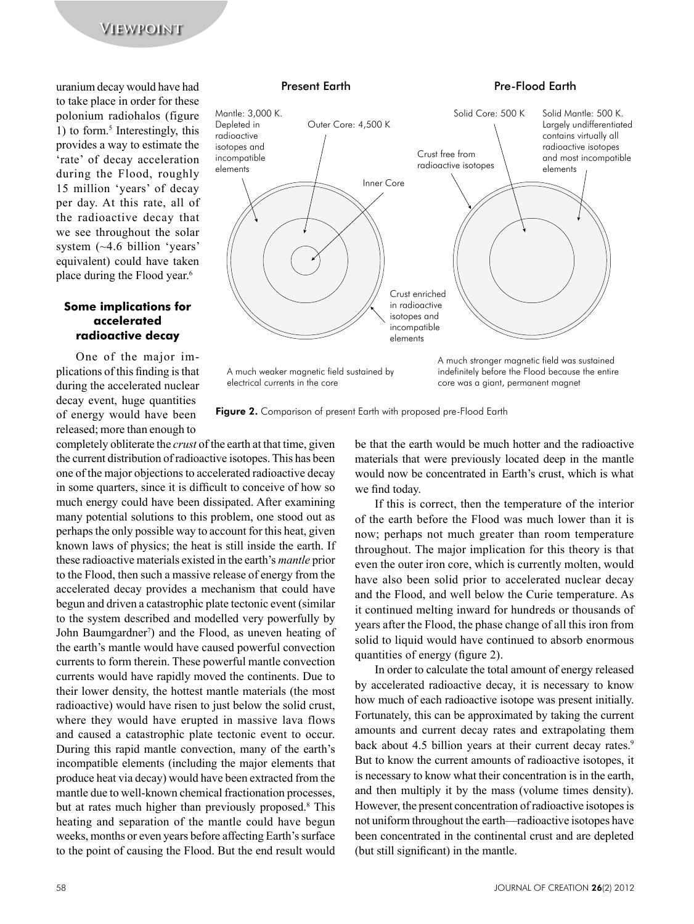uranium'decay'would'have'had' to take place in order for these polonium' radiohalos' (figure' 1) to form.<sup>5</sup> Interestingly, this provides a way to estimate the 'rate' of decay acceleration during the Flood, roughly 15 million 'years' of decay per day. At this rate, all of the radioactive decay that we see throughout the solar system  $(\sim4.6 \text{ billion}$  'years' equivalent) could have taken place during the Flood year.<sup>6</sup>

## **Some implications for accelerated radioactive decay**

One of the major implications of this finding is that during the accelerated nuclear decay event, huge quantities of energy would have been released; more than enough to

### Present Earth

## Pre-Flood Earth



Figure 2. Comparison of present Earth with proposed pre-Flood Earth

completely obliterate the *crust* of the earth at that time, given the current distribution of radioactive isotopes. This has been one of the major objections to accelerated radioactive decay in some quarters, since it is difficult to conceive of how so much energy could have been dissipated. After examining many potential solutions to this problem, one stood out as perhaps the only possible way to account for this heat, given known laws of physics; the heat is still inside the earth. If these radioactive materials existed in the earth's *mantle* prior to the Flood, then such a massive release of energy from the accelerated decay provides a mechanism that could have begun and driven a catastrophic plate tectonic event (similar) to the system described and modelled very powerfully by John Baumgardner<sup>7</sup>) and the Flood, as uneven heating of the earth's mantle would have caused powerful convection currents to form therein. These powerful mantle convection currents would have rapidly moved the continents. Due to their lower density, the hottest mantle materials (the most radioactive) would have risen to just below the solid crust, where they would have erupted in massive lava flows and caused a catastrophic plate tectonic event to occur. During this rapid mantle convection, many of the earth's incompatible elements (including the major elements that produce heat via decay) would have been extracted from the mantle due to well-known chemical fractionation processes, but at rates much higher than previously proposed.<sup>8</sup> This heating and separation of the mantle could have begun weeks, months or even years before affecting Earth's surface to the point of causing the Flood. But the end result would

be that the earth would be much hotter and the radioactive materials that were previously located deep in the mantle would now be concentrated in Earth's crust, which is what we find today.

If this is correct, then the temperature of the interior of the earth before the Flood was much lower than it is now; perhaps not much greater than room temperature throughout. The major implication for this theory is that even the outer iron core, which is currently molten, would have also been solid prior to accelerated nuclear decay and the Flood, and well below the Curie temperature. As it continued melting inward for hundreds or thousands of years after the Flood, the phase change of all this iron from solid to liquid would have continued to absorb enormous quantities of energy (figure 2).

In order to calculate the total amount of energy released by accelerated radioactive decay, it is necessary to know how much of each radioactive isotope was present initially. Fortunately, this can be approximated by taking the current amounts and current decay rates and extrapolating them back about 4.5 billion years at their current decay rates.<sup>9</sup> But to know the current amounts of radioactive isotopes, it is necessary to know what their concentration is in the earth, and then multiply it by the mass (volume times density). However, the present concentration of radioactive isotopes is not uniform throughout the earth—radioactive isotopes have been concentrated in the continental crust and are depleted (but still significant) in the mantle.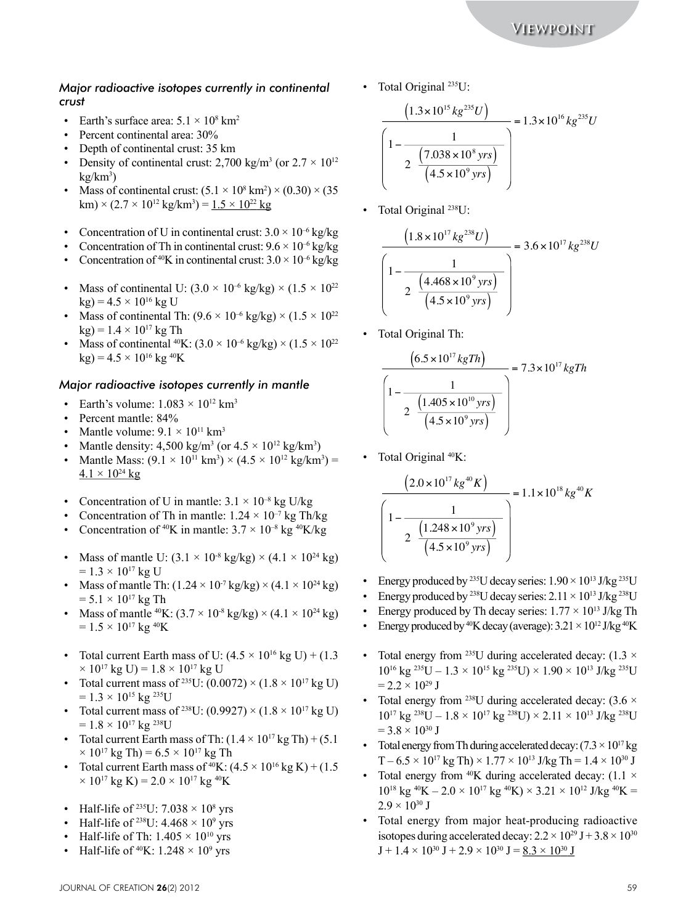## *Major radioactive isotopes currently in continental crust*

- Earth's surface area:  $5.1 \times 10^8$  km<sup>2</sup>
- Percent continental area:  $30\%$
- Depth of continental crust: 35 km
- Density of continental crust: 2,700 kg/m<sup>3</sup> (or  $2.7 \times 10^{12}$ ) kg/km<sup>3</sup>)
- Mass of continental crust:  $(5.1 \times 10^8 \text{ km}^2) \times (0.30) \times (35)$ km) × (2.7 × 10 $^{\rm 12}$  kg/km<sup>3</sup>) = <u>1.5 × 10 $^{\rm 22}$  kg</u>
- Concentration of U in continental crust:  $3.0 \times 10^{-6}$  kg/kg
- Concentration of Th in continental crust:  $9.6 \times 10^{-6}$  kg/kg
- Concentration of <sup>40</sup>K in continental crust:  $3.0 \times 10^{-6}$  kg/kg
- Mass of continental U:  $(3.0 \times 10^{-6} \text{ kg/kg}) \times (1.5 \times 10^{22} \text{ m})$  $kg$ ) = 4.5  $\times$  10<sup>16</sup> kg U
- Mass of continental Th:  $(9.6 \times 10^{-6} \text{ kg/kg}) \times (1.5 \times 10^{22} \text{ m})$  $kg$ ) = 1.4  $\times$  10<sup>17</sup> kg Th
- Mass of continental  $^{40}K$ :  $(3.0 \times 10^{-6} \text{ kg/kg}) \times (1.5 \times 10^{22} \text{ m})$  $kg$ ) = 4.5  $\times$  10<sup>16</sup> kg<sup>40</sup>K

## *Major radioactive isotopes currently in mantle*

- Earth's volume:  $1.083 \times 10^{12}$  km<sup>3</sup>
- Percent mantle: 84%
- Mantle volume:  $9.1 \times 10^{11}$  km<sup>3</sup>
- Mantle density:  $4,500 \text{ kg/m}^3$  (or  $4.5 \times 10^{12} \text{ kg/km}^3$ )
- Mantle Mass:  $(9.1 \times 10^{11} \text{ km}^3) \times (4.5 \times 10^{12} \text{ kg/km}^3)$  =  $4.1 \times 10^{24}$  kg
- Concentration of U in mantle:  $3.1 \times 10^{-8}$  kg U/kg
- Concentration of Th in mantle:  $1.24 \times 10^{-7}$  kg Th/kg
- Concentration of <sup>40</sup>K in mantle:  $3.7 \times 10^{-8}$  kg <sup>40</sup>K/kg
- Mass of mantle U:  $(3.1 \times 10^{8} \text{ kg/kg}) \times (4.1 \times 10^{24} \text{ kg})$  $= 1.3 \times 10^{17}$  kg U
- Mass of mantle Th:  $(1.24 \times 10^7 \text{ kg/kg}) \times (4.1 \times 10^{24} \text{ kg})$  $= 5.1 \times 10^{17}$  kg Th
- Mass of mantle <sup>40</sup>K:  $(3.7 \times 10^{-8} \text{ kg/kg}) \times (4.1 \times 10^{24} \text{ kg})$  $= 1.5 \times 10^{17}$  kg <sup>40</sup>K
- Total current Earth mass of U:  $(4.5 \times 10^{16} \text{ kg U}) + (1.3)$  $\times$  10<sup>17</sup> kg U) = 1.8  $\times$  10<sup>17</sup> kg U
- Total current mass of <sup>235</sup>U:  $(0.0072) \times (1.8 \times 10^{17} \text{ kg U})$  $= 1.3 \times 10^{15}$  kg <sup>235</sup>U
- Total current mass of <sup>238</sup>U:  $(0.9927) \times (1.8 \times 10^{17} \text{ kg U})$  $= 1.8 \times 10^{17}$  kg <sup>238</sup>U
- Total current Earth mass of Th:  $(1.4 \times 10^{17} \text{ kg Th}) + (5.1$  $\times$  10<sup>17</sup> kg Th) = 6.5  $\times$  10<sup>17</sup> kg Th
- Total current Earth mass of  $^{40}K$ :  $(4.5 \times 10^{16} kg K) + (1.5$  $\times$  10<sup>17</sup> kg K) = 2.0  $\times$  10<sup>17</sup> kg <sup>40</sup>K
- Half-life of <sup>235</sup>U:  $7.038 \times 10^8$  yrs
- Half-life of <sup>238</sup>U:  $4.468 \times 10^9$  yrs
- Half-life of Th:  $1.405 \times 10^{10}$  yrs
- Half-life of  $^{40}K$ : 1.248  $\times$  10<sup>9</sup> yrs

• Total Original  $^{235}U$ :

$$
\frac{\left(1.3 \times 10^{15} \, kg^{235} U\right)}{\left(1 - \frac{1}{2} \frac{\left(7.038 \times 10^8 \, yrs\right)}{\left(4.5 \times 10^9 \, yrs\right)}\right)} = 1.3 \times 10^{16} \, kg^{235} U
$$

• Total Original  $^{238}U$ :

$$
\frac{\left(1.8 \times 10^{17} \, kg^{238} U\right)}{\left(1 - \frac{1}{2 \cdot \frac{\left(4.468 \times 10^9 \, yrs\right)}{\left(4.5 \times 10^9 \, yrs\right)}}\right)} = 3.6 \times 10^{17} \, kg^{238} U
$$

• Total Original Th:

$$
\frac{\left(6.5 \times 10^{17} \, kgTh\right)}{\left(1 - \frac{1}{2 \cdot \frac{\left(1.405 \times 10^{10} \, yrs\right)}{\left(4.5 \times 10^9 \, yrs\right)}}\right)} = 7.3 \times 10^{17} \, kgTh
$$

• Total Original  $^{40}K$ :

$$
\frac{\left(2.0 \times 10^{17} \, kg^{40} K\right)}{\left(1 - \frac{1}{2 \cdot \frac{\left(1.248 \times 10^9 \, yrs\right)}{\left(4.5 \times 10^9 \, yrs\right)}}\right)} = 1.1 \times 10^{18} \, kg^{40} K
$$

- Energy produced by <sup>235</sup>U decay series:  $1.90 \times 10^{13}$  J/kg<sup>235</sup>U
- Energy produced by <sup>238</sup>U decay series:  $2.11 \times 10^{13}$  J/kg<sup>238</sup>U
- Energy produced by Th decay series:  $1.77 \times 10^{13}$  J/kg Th
- Energy produced by  $^{40}$ K decay (average):  $3.21 \times 10^{12}$  J/kg  $^{40}$ K
- Total energy from <sup>235</sup>U during accelerated decay:  $(1.3 \times$  $10^{16}$  kg  $^{235}$ U – 1.3  $\times$   $10^{15}$  kg  $^{235}$ U)  $\times$  1.90  $\times$   $10^{13}$  J/kg  $^{235}$ U  $= 2.2 \times 10^{29}$  J
- Total energy from <sup>238</sup>U during accelerated decay:  $(3.6 \times$  $10^{17}$  kg<sup>238</sup>U –  $1.8 \times 10^{17}$  kg<sup>238</sup>U)  $\times$  2.11  $\times$  10<sup>13</sup> J/kg<sup>238</sup>U  $=$  3.8  $\times$  10<sup>30</sup> J
- Total energy from Th during accelerated decay:  $(7.3 \times 10^{17} \text{kg})$  $T - 6.5 \times 10^{17}$  kg Th)  $\times 1.77 \times 10^{13}$  J/kg Th =  $1.4 \times 10^{30}$  J
- Total energy from  $^{40}K$  during accelerated decay: (1.1  $\times$  $10^{18}$  kg  $^{40}$ K  $- 2.0 \times 10^{17}$  kg  $^{40}$ K)  $\times$  3.21  $\times$  10<sup>12</sup> J/kg  $^{40}$ K =  $2.9 \times 10^{30}$  J
- Total energy from major heat-producing radioactive isotopes during accelerated decay:  $2.2 \times 10^{29}$  J +  $3.8 \times 10^{30}$  $J + 1.4 \times 10^{30}$   $J + 2.9 \times 10^{30}$   $J = 8.3 \times 10^{30}$  J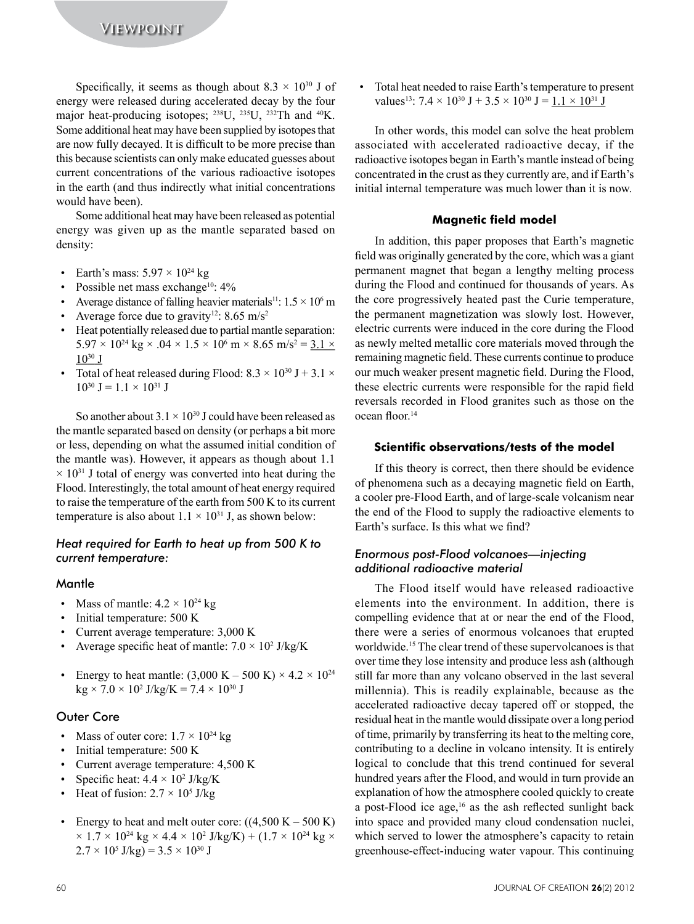Specifically, it seems as though about 8.3  $\times$  10<sup>30</sup> J of energy were released during accelerated decay by the four major heat-producing isotopes;  $^{238}$ U,  $^{235}$ U,  $^{232}$ Th and  $^{40}$ K. Some additional heat may have been supplied by isotopes that are now fully decayed. It is difficult to be more precise than this because scientists can only make educated guesses about current concentrations of the various radioactive isotopes in the earth (and thus indirectly what initial concentrations) would have been).

Some additional heat may have been released as potential energy was given up as the mantle separated based on density:

- Earth's mass:  $5.97 \times 10^{24}$  kg  $\bullet$
- Possible net mass exchange<sup>10</sup>: 4%
- Average distance of falling heavier materials<sup>11</sup>:  $1.5 \times 10^6$  m
- Average force due to gravity<sup>12</sup>: 8.65 m/s<sup>2</sup>
- Heat potentially released due to partial mantle separation:  $5.97 \times 10^{24}$  kg  $\times .04 \times 1.5 \times 10^6$  m  $\times 8.65$  m/s<sup>2</sup> = 3.1  $\times$  $10^{30}$  J
- Total of heat released during Flood:  $8.3 \times 10^{30}$  J + 3.1  $\times$  $10^{30}$  J = 1.1 × 10<sup>31</sup> J

So another about  $3.1 \times 10^{30}$  J could have been released as the mantle separated based on density (or perhaps a bit more or less, depending on what the assumed initial condition of the mantle was). However, it appears as though about 1.1  $\times$  10<sup>31</sup> J total of energy was converted into heat during the Flood. Interestingly, the total amount of heat energy required to raise the temperature of the earth from 500 K to its current temperature is also about  $1.1 \times 10^{31}$  J, as shown below:

## Heat required for Earth to heat up from 500 K to current temperature:

## Mantle

- Mass of mantle:  $4.2 \times 10^{24}$  kg
- Initial temperature: 500 K  $\bullet$
- Current average temperature: 3,000 K
- Average specific heat of mantle:  $7.0 \times 10^2$  J/kg/K
- Energy to heat mantle:  $(3,000 \text{ K} 500 \text{ K}) \times 4.2 \times 10^{24}$  $kg \times 7.0 \times 10^2$  J/kg/K = 7.4  $\times$  10<sup>30</sup> J

## **Outer Core**

- Mass of outer core:  $1.7 \times 10^{24}$  kg
- Initial temperature: 500 K
- Current average temperature: 4,500 K
- Specific heat:  $4.4 \times 10^2$  J/kg/K
- Heat of fusion:  $2.7 \times 10^5$  J/kg
- Energy to heat and melt outer core:  $((4,500 \text{ K} 500 \text{ K}))$  $\times$  1.7  $\times$  10<sup>24</sup> kg  $\times$  4.4  $\times$  10<sup>2</sup> J/kg/K) + (1.7  $\times$  10<sup>24</sup> kg  $\times$  $2.7 \times 10^5$  J/kg) =  $3.5 \times 10^{30}$  J

Total heat needed to raise Earth's temperature to present values<sup>13</sup>:  $7.4 \times 10^{30}$  J + 3.5  $\times$  10<sup>30</sup> J = 1.1  $\times$  10<sup>31</sup> J

In other words, this model can solve the heat problem associated with accelerated radioactive decay, if the radioactive isotopes began in Earth's mantle instead of being concentrated in the crust as they currently are, and if Earth's initial internal temperature was much lower than it is now.

## **Magnetic field model**

In addition, this paper proposes that Earth's magnetic field was originally generated by the core, which was a giant permanent magnet that began a lengthy melting process during the Flood and continued for thousands of years. As the core progressively heated past the Curie temperature, the permanent magnetization was slowly lost. However, electric currents were induced in the core during the Flood as newly melted metallic core materials moved through the remaining magnetic field. These currents continue to produce our much weaker present magnetic field. During the Flood, these electric currents were responsible for the rapid field reversals recorded in Flood granites such as those on the ocean floor<sup>14</sup>

## Scientific observations/tests of the model

If this theory is correct, then there should be evidence of phenomena such as a decaying magnetic field on Earth, a cooler pre-Flood Earth, and of large-scale volcanism near the end of the Flood to supply the radioactive elements to Earth's surface. Is this what we find?

## Enormous post-Flood volcanoes-injecting additional radioactive material

The Flood itself would have released radioactive elements into the environment. In addition, there is compelling evidence that at or near the end of the Flood, there were a series of enormous volcanoes that erupted worldwide.<sup>15</sup> The clear trend of these supervolcanoes is that over time they lose intensity and produce less ash (although still far more than any volcano observed in the last several millennia). This is readily explainable, because as the accelerated radioactive decay tapered off or stopped, the residual heat in the mantle would dissipate over a long period of time, primarily by transferring its heat to the melting core, contributing to a decline in volcano intensity. It is entirely logical to conclude that this trend continued for several hundred years after the Flood, and would in turn provide an explanation of how the atmosphere cooled quickly to create a post-Flood ice age,<sup>16</sup> as the ash reflected sunlight back into space and provided many cloud condensation nuclei, which served to lower the atmosphere's capacity to retain greenhouse-effect-inducing water vapour. This continuing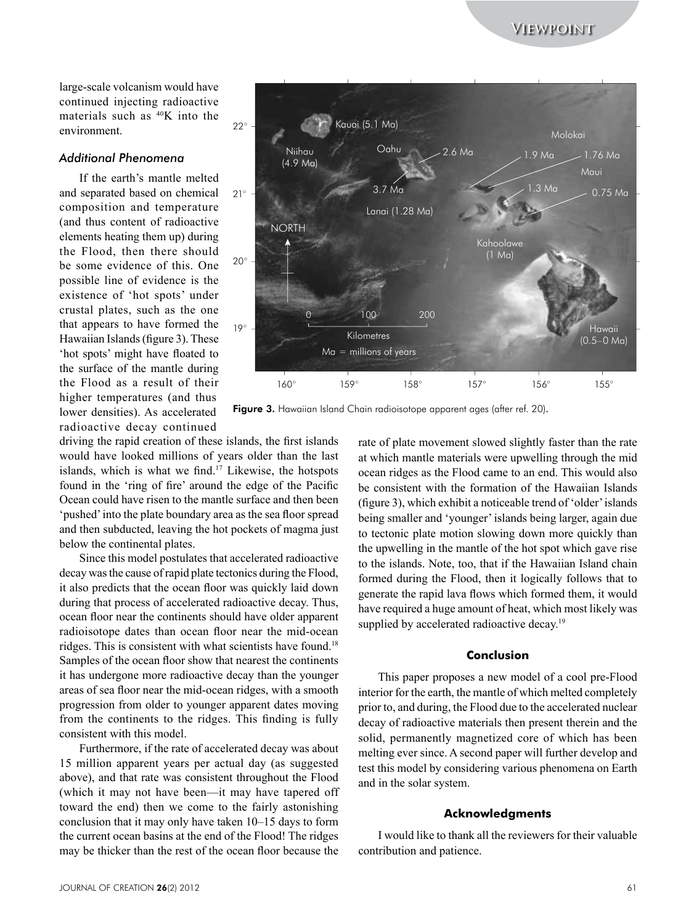**Viewpoint**

large-scale volcanism would have continued injecting radioactive materials such as  $40K$  into the environment.

## *Additional Phenomena*

If the earth's mantle melted and separated based on chemical composition) and) temperature) (and thus content of radioactive) elements heating them up) during the Flood, then there should be some evidence of this. One possible line of evidence is the existence of 'hot spots' under crustal plates, such as the one that appears to have formed the Hawaiian Islands (figure 3). These 'hot spots' might have floated to the surface of the mantle during the Flood as a result of their higher temperatures (and thus) lower densities). As accelerated radioactive) decay) continued)



Figure 3. Hawaiian Island Chain radioisotope apparent ages (after ref. 20).

driving the rapid creation of these islands, the first islands would have looked millions of years older than the last islands, which is what we find.<sup>17</sup> Likewise, the hotspots found in the 'ring of fire' around the edge of the Pacific Ocean could have risen to the mantle surface and then been 'pushed' into the plate boundary area as the sea floor spread and then subducted, leaving the hot pockets of magma just below the continental plates.

Since this model postulates that accelerated radioactive decay was the cause of rapid plate tectonics during the Flood, it also predicts that the ocean floor was quickly laid down during that process of accelerated radioactive decay. Thus, ocean floor near the continents should have older apparent radioisotope dates than ocean floor near the mid-ocean ridges. This is consistent with what scientists have found.<sup>18</sup> Samples of the ocean floor show that nearest the continents it has undergone more radioactive decay than the younger areas of sea floor near the mid-ocean ridges, with a smooth progression from older to younger apparent dates moving from the continents to the ridges. This finding is fully consistent with this model.

Furthermore, if the rate of accelerated decay was about 15) million) apparent) years) per) actual) day) (as) suggested) above), and that rate was consistent throughout the Flood (which it may not have been—it may have tapered off toward the end) then we come to the fairly astonishing conclusion that it may only have taken  $10-15$  days to form the current ocean basins at the end of the Flood! The ridges may be thicker than the rest of the ocean floor because the

rate of plate movement slowed slightly faster than the rate at which mantle materials were upwelling through the mid ocean ridges as the Flood came to an end. This would also be consistent with the formation of the Hawaiian Islands  $(f)$  (figure 3), which exhibit a noticeable trend of 'older' islands being smaller and 'younger' islands being larger, again due to tectonic plate motion slowing down more quickly than the upwelling in the mantle of the hot spot which gave rise to the islands. Note, too, that if the Hawaiian Island chain formed during the Flood, then it logically follows that to generate the rapid lava flows which formed them, it would have required a huge amount of heat, which most likely was supplied by accelerated radioactive decay.<sup>19</sup>

#### **Conclusion**

This paper proposes a new model of a cool pre-Flood interior for the earth, the mantle of which melted completely prior to, and during, the Flood due to the accelerated nuclear decay of radioactive materials then present therein and the solid, permanently magnetized core of which has been melting ever since. A second paper will further develop and test this model by considering various phenomena on Earth and in the solar system.

### **Acknowledgments**

I would like to thank all the reviewers for their valuable contribution and patience.